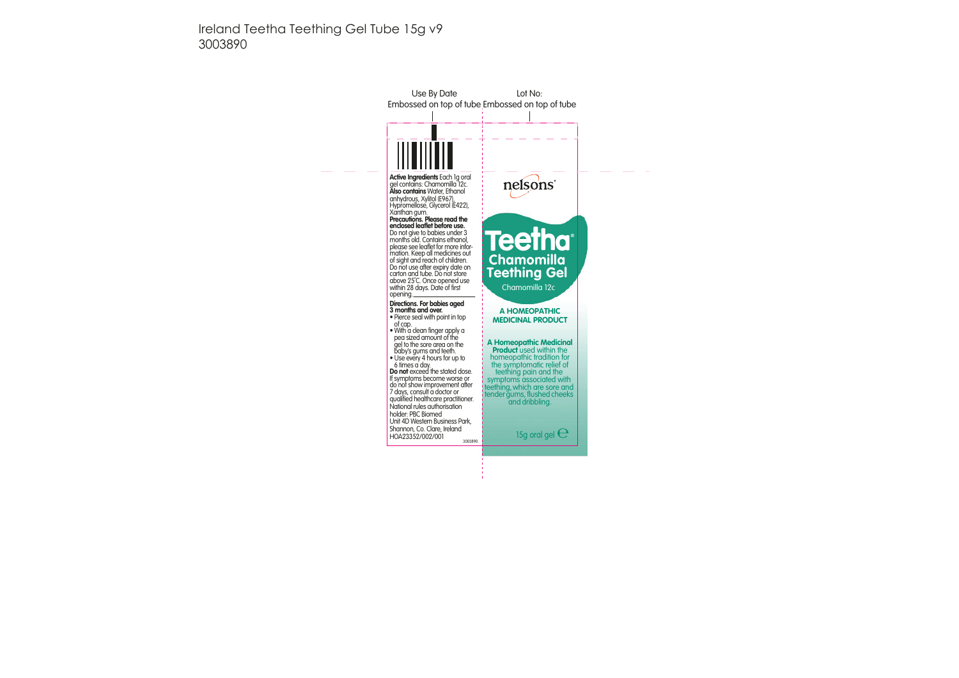Ireland Teetha Teething Gel Tube 15g v9 3003890